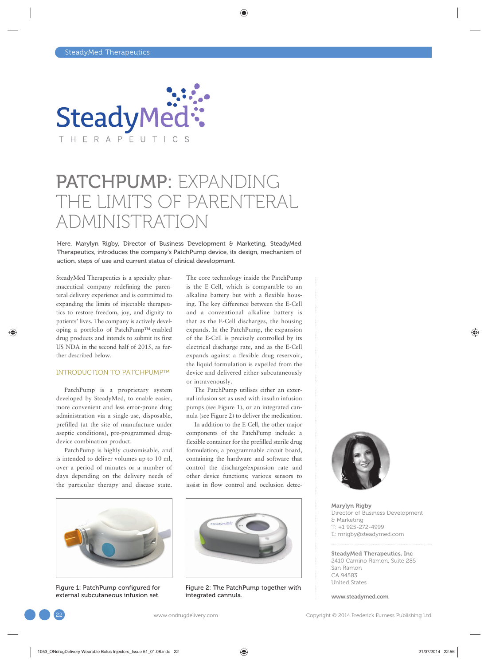

## PATCHPUMP: EXPANDING THE LIMITS OF PARENTERAI. ADMINISTRATION

Here, Marylyn Rigby, Director of Business Development & Marketing, SteadyMed Therapeutics, introduces the company's PatchPump device, its design, mechanism of action, steps of use and current status of clinical development.

SteadyMed Therapeutics is a specialty pharmaceutical company redefining the parenteral delivery experience and is committed to expanding the limits of injectable therapeutics to restore freedom, joy, and dignity to patients' lives. The company is actively developing a portfolio of PatchPump™-enabled drug products and intends to submit its first US NDA in the second half of 2015, as further described below.

### INTRODUCTION TO PATCHPUMP™

PatchPump is a proprietary system developed by SteadyMed, to enable easier, more convenient and less error-prone drug administration via a single-use, disposable, prefilled (at the site of manufacture under aseptic conditions), pre-programmed drugdevice combination product.

PatchPump is highly customisable, and is intended to deliver volumes up to 10 ml, over a period of minutes or a number of days depending on the delivery needs of the particular therapy and disease state.



Figure 1: PatchPump configured for external subcutaneous infusion set.

The core technology inside the PatchPump is the E-Cell, which is comparable to an alkaline battery but with a flexible housing. The key difference between the E-Cell and a conventional alkaline battery is that as the E-Cell discharges, the housing expands. In the PatchPump, the expansion of the E-Cell is precisely controlled by its electrical discharge rate, and as the E-Cell expands against a flexible drug reservoir, the liquid formulation is expelled from the device and delivered either subcutaneously or intravenously.

The PatchPump utilises either an external infusion set as used with insulin infusion pumps (see Figure 1), or an integrated cannula (see Figure 2) to deliver the medication.

In addition to the E-Cell, the other major components of the PatchPump include: a flexible container for the prefilled sterile drug formulation; a programmable circuit board, containing the hardware and software that control the discharge/expansion rate and other device functions; various sensors to assist in flow control and occlusion detec-



Figure 2: The PatchPump together with integrated cannula.



Marylyn Rigby Director of Business Development & Marketing T: +1 925-272-4999 E: mrigby@steadymed.com

SteadyMed Therapeutics, Inc 2410 Camino Ramon, Suite 285 San Ramon CA 94583 United States

www.steadymed.com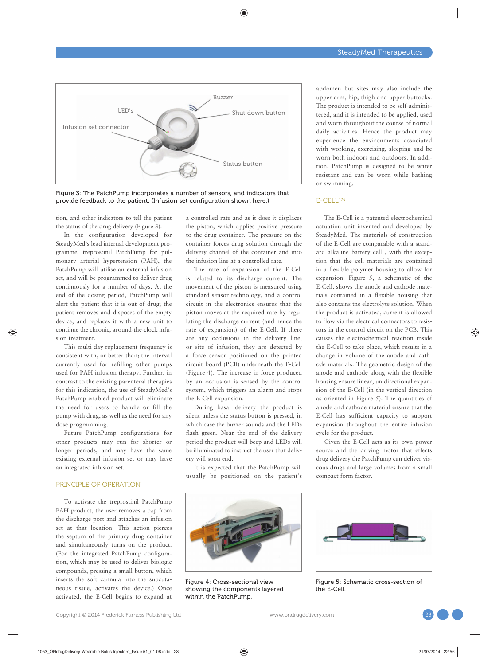

Figure 3: The PatchPump incorporates a number of sensors, and indicators that provide feedback to the patient. (Infusion set configuration shown here.)

tion, and other indicators to tell the patient the status of the drug delivery (Figure 3).

In the configuration developed for SteadyMed's lead internal development programme; treprostinil PatchPump for pulmonary arterial hypertension (PAH), the PatchPump will utilise an external infusion set, and will be programmed to deliver drug continuously for a number of days. At the end of the dosing period, PatchPump will alert the patient that it is out of drug; the patient removes and disposes of the empty device, and replaces it with a new unit to continue the chronic, around-the-clock infusion treatment.

This multi day replacement frequency is consistent with, or better than; the interval currently used for refilling other pumps used for PAH infusion therapy. Further, in contrast to the existing parenteral therapies for this indication, the use of SteadyMed's PatchPump-enabled product will eliminate the need for users to handle or fill the pump with drug, as well as the need for any dose programming.

Future PatchPump configurations for other products may run for shorter or longer periods, and may have the same existing external infusion set or may have an integrated infusion set.

### PRINCIPLE OF OPERATION

To activate the treprostinil PatchPump PAH product, the user removes a cap from the discharge port and attaches an infusion set at that location. This action pierces the septum of the primary drug container and simultaneously turns on the product. (For the integrated PatchPump configuration, which may be used to deliver biologic compounds, pressing a small button, which inserts the soft cannula into the subcutaneous tissue, activates the device.) Once activated, the E-Cell begins to expand at a controlled rate and as it does it displaces the piston, which applies positive pressure to the drug container. The pressure on the container forces drug solution through the delivery channel of the container and into the infusion line at a controlled rate.

The rate of expansion of the E-Cell is related to its discharge current. The movement of the piston is measured using standard sensor technology, and a control circuit in the electronics ensures that the piston moves at the required rate by regulating the discharge current (and hence the rate of expansion) of the E-Cell. If there are any occlusions in the delivery line, or site of infusion, they are detected by a force sensor positioned on the printed circuit board (PCB) underneath the E-Cell (Figure 4). The increase in force produced by an occlusion is sensed by the control system, which triggers an alarm and stops the E-Cell expansion.

During basal delivery the product is silent unless the status button is pressed, in which case the buzzer sounds and the LEDs flash green. Near the end of the delivery period the product will beep and LEDs will be illuminated to instruct the user that delivery will soon end.

It is expected that the PatchPump will usually be positioned on the patient's



Figure 4: Cross-sectional view showing the components layered within the PatchPump.

abdomen but sites may also include the upper arm, hip, thigh and upper buttocks. The product is intended to be self-administered, and it is intended to be applied, used and worn throughout the course of normal daily activities. Hence the product may experience the environments associated with working, exercising, sleeping and be worn both indoors and outdoors. In addition, PatchPump is designed to be water resistant and can be worn while bathing or swimming.

### E-CELL™

The E-Cell is a patented electrochemical actuation unit invented and developed by SteadyMed. The materials of construction of the E-Cell are comparable with a standard alkaline battery cell , with the exception that the cell materials are contained in a flexible polymer housing to allow for expansion. Figure 5, a schematic of the E-Cell, shows the anode and cathode materials contained in a flexible housing that also contains the electrolyte solution. When the product is activated, current is allowed to flow via the electrical connectors to resistors in the control circuit on the PCB. This causes the electrochemical reaction inside the E-Cell to take place, which results in a change in volume of the anode and cathode materials. The geometric design of the anode and cathode along with the flexible housing ensure linear, unidirectional expansion of the E-Cell (in the vertical direction as oriented in Figure 5). The quantities of anode and cathode material ensure that the E-Cell has sufficient capacity to support expansion throughout the entire infusion cycle for the product.

Given the E-Cell acts as its own power source and the driving motor that effects drug delivery the PatchPump can deliver viscous drugs and large volumes from a small compact form factor.



Figure 5: Schematic cross-section of the E-Cell.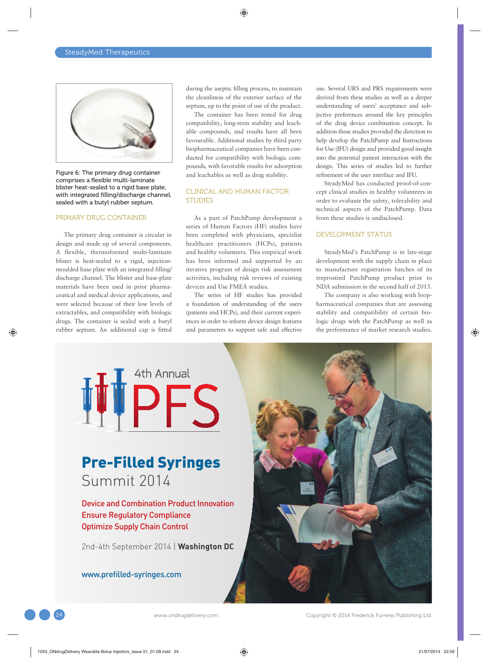

Figure 6: The primary drug container comprises a flexible multi-laminate blister heat-sealed to a rigid base plate, with integrated filling/discharge channel, sealed with a butyl rubber septum.

#### PRIMARY DRUG CONTAINER

The primary drug container is circular in design and made up of several components. A flexible, thermoformed multi-laminate blister is heat-sealed to a rigid, injectionmoulded base plate with an integrated filling/ discharge channel. The blister and base-plate materials have been used in prior pharmaceutical and medical device applications, and were selected because of their low levels of extractables, and compatibility with biologic drugs. The container is sealed with a butyl rubber septum. An additional cap is fitted during the aseptic filling process, to maintain the cleanliness of the exterior surface of the septum, up to the point of use of the product.

The container has been tested for drug compatibility, long-term stability and leachable compounds, and results have all been favourable. Additional studies by third party biopharmaceutical companies have been conducted for compatibility with biologic compounds, with favorable results for adsorption and leachables as well as drug stability.

### CLINICAL AND HUMAN FACTOR STUDIES.

As a part of PatchPump development a series of Human Factors (HF) studies have been completed with physicians, specialist healthcare practitioners (HCPs), patients and healthy volunteers. This empirical work has been informed and supported by an iterative program of design risk assessment activities, including risk reviews of existing devices and Use FMEA studies.

The series of HF studies has provided a foundation of understanding of the users (patients and HCPs), and their current experiences in order to inform device design features and parameters to support safe and effective

use. Several URS and PRS requirements were derived from these studies as well as a deeper understanding of users' acceptance and subjective preferences around the key principles of the drug device combination concept. In addition these studies provided the direction to help develop the PatchPump and Instructions for Use (IFU) design and provided good insight into the potential patient interaction with the design. This series of studies led to further refinement of the user interface and IFU.

SteadyMed has conducted proof-of-concept clinical studies in healthy volunteers in order to evaluate the safety, tolerability and technical aspects of the PatchPump. Data from these studies is undisclosed.

### DEVELOPMENT STATUS

SteadyMed's PatchPump is in late-stage development with the supply chain in place to manufacture registration batches of its treprostinil PatchPump product prior to NDA submission in the second half of 2015.

The company is also working with biopharmaceutical companies that are assessing stability and compatibility of certain biologic drugs with the PatchPump as well as the performance of market research studies.

# 4th Annual

### Pre-Filled Syringes Summit 2014

Device and Combination Product Innovation Ensure Regulatory Compliance Optimize Supply Chain Control

2nd-4th September 2014 | **Washington DC**

www.prefilled-syringes.com